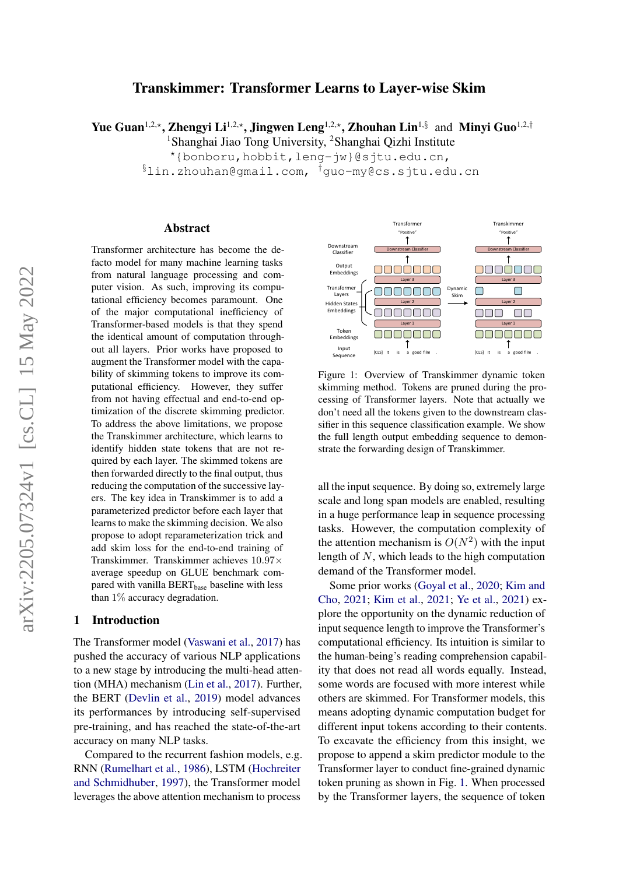# Transkimmer: Transformer Learns to Layer-wise Skim

Yue Guan<sup>1,2,\*</sup>, Zhengyi Li<sup>1,2,\*</sup>, Jingwen Leng<sup>1,2,\*</sup>, Zhouhan Lin<sup>1,§</sup> and Minyi Guo<sup>1,2,†</sup>

<sup>1</sup>Shanghai Jiao Tong University, <sup>2</sup>Shanghai Qizhi Institute

?{bonboru,hobbit,leng-jw}@sjtu.edu.cn,

§lin.zhouhan@gmail.com, †guo-my@cs.sjtu.edu.cn

### Abstract

Transformer architecture has become the defacto model for many machine learning tasks from natural language processing and computer vision. As such, improving its computational efficiency becomes paramount. One of the major computational inefficiency of Transformer-based models is that they spend the identical amount of computation throughout all layers. Prior works have proposed to augment the Transformer model with the capability of skimming tokens to improve its computational efficiency. However, they suffer from not having effectual and end-to-end optimization of the discrete skimming predictor. To address the above limitations, we propose the Transkimmer architecture, which learns to identify hidden state tokens that are not required by each layer. The skimmed tokens are then forwarded directly to the final output, thus reducing the computation of the successive layers. The key idea in Transkimmer is to add a parameterized predictor before each layer that learns to make the skimming decision. We also propose to adopt reparameterization trick and add skim loss for the end-to-end training of Transkimmer. Transkimmer achieves 10.97× average speedup on GLUE benchmark compared with vanilla BERT<sub>base</sub> baseline with less than 1% accuracy degradation.

#### 1 Introduction

The Transformer model [\(Vaswani et al.,](#page-10-0) [2017\)](#page-10-0) has pushed the accuracy of various NLP applications to a new stage by introducing the multi-head attention (MHA) mechanism [\(Lin et al.,](#page-10-1) [2017\)](#page-10-1). Further, the BERT [\(Devlin et al.,](#page-9-0) [2019\)](#page-9-0) model advances its performances by introducing self-supervised pre-training, and has reached the state-of-the-art accuracy on many NLP tasks.

Compared to the recurrent fashion models, e.g. RNN [\(Rumelhart et al.,](#page-10-2) [1986\)](#page-10-2), LSTM [\(Hochreiter](#page-9-1) [and Schmidhuber,](#page-9-1) [1997\)](#page-9-1), the Transformer model leverages the above attention mechanism to process

<span id="page-0-0"></span>

Figure 1: Overview of Transkimmer dynamic token skimming method. Tokens are pruned during the processing of Transformer layers. Note that actually we don't need all the tokens given to the downstream classifier in this sequence classification example. We show the full length output embedding sequence to demonstrate the forwarding design of Transkimmer.

all the input sequence. By doing so, extremely large scale and long span models are enabled, resulting in a huge performance leap in sequence processing tasks. However, the computation complexity of the attention mechanism is  $O(N^2)$  with the input length of N, which leads to the high computation demand of the Transformer model.

Some prior works [\(Goyal et al.,](#page-9-2) [2020;](#page-9-2) [Kim and](#page-9-3) [Cho,](#page-9-3) [2021;](#page-9-3) [Kim et al.,](#page-10-3) [2021;](#page-10-3) [Ye et al.,](#page-11-0) [2021\)](#page-11-0) explore the opportunity on the dynamic reduction of input sequence length to improve the Transformer's computational efficiency. Its intuition is similar to the human-being's reading comprehension capability that does not read all words equally. Instead, some words are focused with more interest while others are skimmed. For Transformer models, this means adopting dynamic computation budget for different input tokens according to their contents. To excavate the efficiency from this insight, we propose to append a skim predictor module to the Transformer layer to conduct fine-grained dynamic token pruning as shown in Fig. [1.](#page-0-0) When processed by the Transformer layers, the sequence of token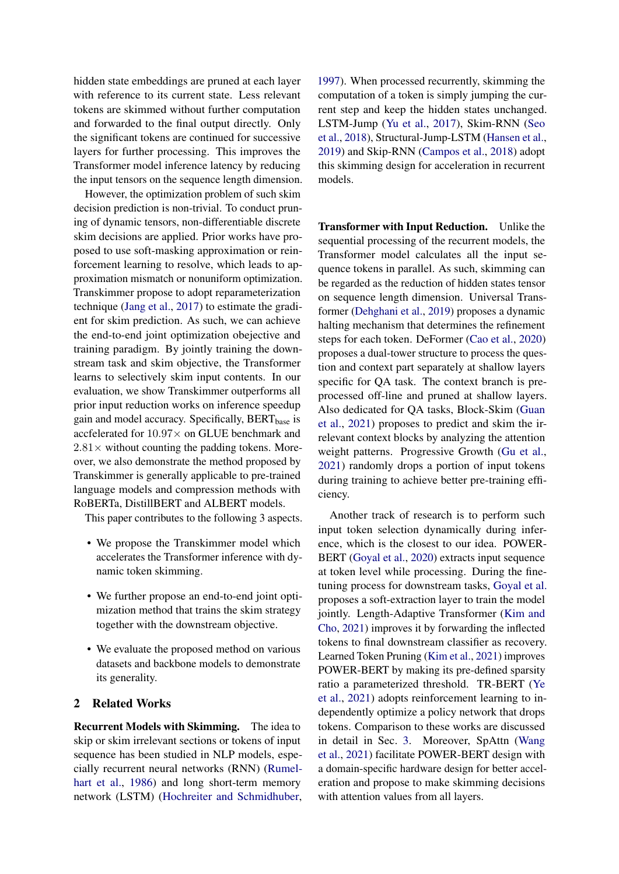hidden state embeddings are pruned at each layer with reference to its current state. Less relevant tokens are skimmed without further computation and forwarded to the final output directly. Only the significant tokens are continued for successive layers for further processing. This improves the Transformer model inference latency by reducing the input tensors on the sequence length dimension.

However, the optimization problem of such skim decision prediction is non-trivial. To conduct pruning of dynamic tensors, non-differentiable discrete skim decisions are applied. Prior works have proposed to use soft-masking approximation or reinforcement learning to resolve, which leads to approximation mismatch or nonuniform optimization. Transkimmer propose to adopt reparameterization technique [\(Jang et al.,](#page-9-4) [2017\)](#page-9-4) to estimate the gradient for skim prediction. As such, we can achieve the end-to-end joint optimization obejective and training paradigm. By jointly training the downstream task and skim objective, the Transformer learns to selectively skim input contents. In our evaluation, we show Transkimmer outperforms all prior input reduction works on inference speedup gain and model accuracy. Specifically, BERT<sub>base</sub> is accfelerated for  $10.97\times$  on GLUE benchmark and  $2.81\times$  without counting the padding tokens. Moreover, we also demonstrate the method proposed by Transkimmer is generally applicable to pre-trained language models and compression methods with RoBERTa, DistillBERT and ALBERT models.

This paper contributes to the following 3 aspects.

- We propose the Transkimmer model which accelerates the Transformer inference with dynamic token skimming.
- We further propose an end-to-end joint optimization method that trains the skim strategy together with the downstream objective.
- We evaluate the proposed method on various datasets and backbone models to demonstrate its generality.

# 2 Related Works

Recurrent Models with Skimming. The idea to skip or skim irrelevant sections or tokens of input sequence has been studied in NLP models, especially recurrent neural networks (RNN) [\(Rumel](#page-10-2)[hart et al.,](#page-10-2) [1986\)](#page-10-2) and long short-term memory network (LSTM) [\(Hochreiter and Schmidhuber,](#page-9-1) [1997\)](#page-9-1). When processed recurrently, skimming the computation of a token is simply jumping the current step and keep the hidden states unchanged. LSTM-Jump [\(Yu et al.,](#page-11-1) [2017\)](#page-11-1), Skim-RNN [\(Seo](#page-10-4) [et al.,](#page-10-4) [2018\)](#page-10-4), Structural-Jump-LSTM [\(Hansen et al.,](#page-9-5) [2019\)](#page-9-5) and Skip-RNN [\(Campos et al.,](#page-9-6) [2018\)](#page-9-6) adopt this skimming design for acceleration in recurrent models.

Transformer with Input Reduction. Unlike the sequential processing of the recurrent models, the Transformer model calculates all the input sequence tokens in parallel. As such, skimming can be regarded as the reduction of hidden states tensor on sequence length dimension. Universal Transformer [\(Dehghani et al.,](#page-9-7) [2019\)](#page-9-7) proposes a dynamic halting mechanism that determines the refinement steps for each token. DeFormer [\(Cao et al.,](#page-9-8) [2020\)](#page-9-8) proposes a dual-tower structure to process the question and context part separately at shallow layers specific for QA task. The context branch is preprocessed off-line and pruned at shallow layers. Also dedicated for QA tasks, Block-Skim [\(Guan](#page-9-9) [et al.,](#page-9-9) [2021\)](#page-9-9) proposes to predict and skim the irrelevant context blocks by analyzing the attention weight patterns. Progressive Growth [\(Gu et al.,](#page-9-10) [2021\)](#page-9-10) randomly drops a portion of input tokens during training to achieve better pre-training efficiency.

Another track of research is to perform such input token selection dynamically during inference, which is the closest to our idea. POWER-BERT [\(Goyal et al.,](#page-9-2) [2020\)](#page-9-2) extracts input sequence at token level while processing. During the finetuning process for downstream tasks, [Goyal et al.](#page-9-2) proposes a soft-extraction layer to train the model jointly. Length-Adaptive Transformer [\(Kim and](#page-9-3) [Cho,](#page-9-3) [2021\)](#page-9-3) improves it by forwarding the inflected tokens to final downstream classifier as recovery. Learned Token Pruning [\(Kim et al.,](#page-10-3) [2021\)](#page-10-3) improves POWER-BERT by making its pre-defined sparsity ratio a parameterized threshold. TR-BERT [\(Ye](#page-11-0) [et al.,](#page-11-0) [2021\)](#page-11-0) adopts reinforcement learning to independently optimize a policy network that drops tokens. Comparison to these works are discussed in detail in Sec. [3.](#page-2-0) Moreover, SpAttn [\(Wang](#page-10-5) [et al.,](#page-10-5) [2021\)](#page-10-5) facilitate POWER-BERT design with a domain-specific hardware design for better acceleration and propose to make skimming decisions with attention values from all layers.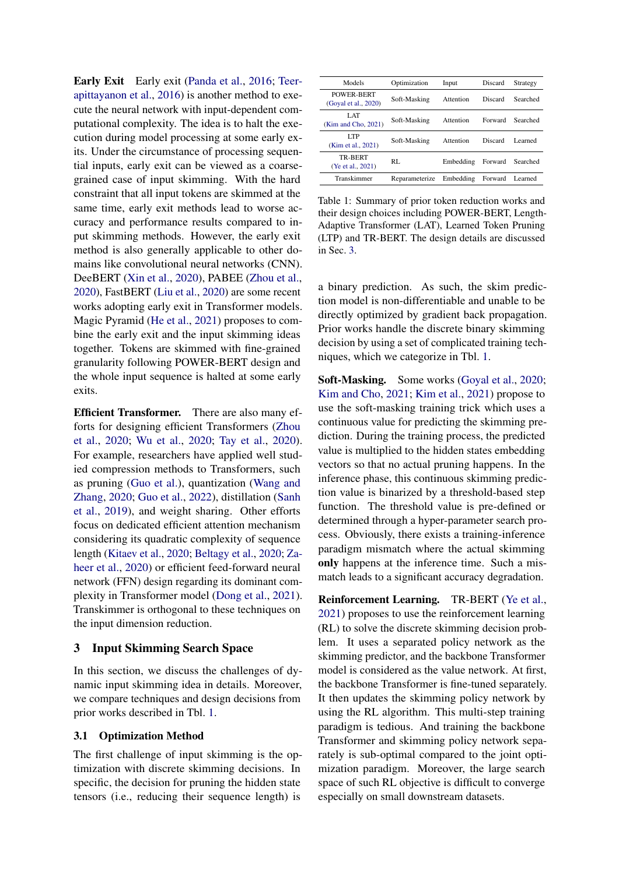Early Exit Early exit [\(Panda et al.,](#page-10-6) [2016;](#page-10-6) [Teer](#page-10-7)[apittayanon et al.,](#page-10-7) [2016\)](#page-10-7) is another method to execute the neural network with input-dependent computational complexity. The idea is to halt the execution during model processing at some early exits. Under the circumstance of processing sequential inputs, early exit can be viewed as a coarsegrained case of input skimming. With the hard constraint that all input tokens are skimmed at the same time, early exit methods lead to worse accuracy and performance results compared to input skimming methods. However, the early exit method is also generally applicable to other domains like convolutional neural networks (CNN). DeeBERT [\(Xin et al.,](#page-11-2) [2020\)](#page-11-2), PABEE [\(Zhou et al.,](#page-11-3) [2020\)](#page-11-3), FastBERT [\(Liu et al.,](#page-10-8) [2020\)](#page-10-8) are some recent works adopting early exit in Transformer models. Magic Pyramid [\(He et al.,](#page-9-11) [2021\)](#page-9-11) proposes to combine the early exit and the input skimming ideas together. Tokens are skimmed with fine-grained granularity following POWER-BERT design and the whole input sequence is halted at some early exits.

Efficient Transformer. There are also many efforts for designing efficient Transformers [\(Zhou](#page-11-3) [et al.,](#page-11-3) [2020;](#page-11-3) [Wu et al.,](#page-10-9) [2020;](#page-10-9) [Tay et al.,](#page-10-10) [2020\)](#page-10-10). For example, researchers have applied well studied compression methods to Transformers, such as pruning [\(Guo et al.\)](#page-9-12), quantization [\(Wang and](#page-10-11) [Zhang,](#page-10-11) [2020;](#page-10-11) [Guo et al.,](#page-9-13) [2022\)](#page-9-13), distillation [\(Sanh](#page-10-12) [et al.,](#page-10-12) [2019\)](#page-10-12), and weight sharing. Other efforts focus on dedicated efficient attention mechanism considering its quadratic complexity of sequence length [\(Kitaev et al.,](#page-10-13) [2020;](#page-10-13) [Beltagy et al.,](#page-9-14) [2020;](#page-9-14) [Za](#page-11-4)[heer et al.,](#page-11-4) [2020\)](#page-11-4) or efficient feed-forward neural network (FFN) design regarding its dominant complexity in Transformer model [\(Dong et al.,](#page-9-15) [2021\)](#page-9-15). Transkimmer is orthogonal to these techniques on the input dimension reduction.

## <span id="page-2-0"></span>3 Input Skimming Search Space

In this section, we discuss the challenges of dynamic input skimming idea in details. Moreover, we compare techniques and design decisions from prior works described in Tbl. [1.](#page-2-1)

#### <span id="page-2-2"></span>3.1 Optimization Method

The first challenge of input skimming is the optimization with discrete skimming decisions. In specific, the decision for pruning the hidden state tensors (i.e., reducing their sequence length) is

<span id="page-2-1"></span>

| Models                              | Optimization   | Input     | Discard | Strategy |
|-------------------------------------|----------------|-----------|---------|----------|
| POWER-BERT<br>(Goyal et al., 2020)  | Soft-Masking   | Attention | Discard | Searched |
| LAT<br>(Kim and Cho, 2021)          | Soft-Masking   | Attention | Forward | Searched |
| LTP<br>(Kim et al., 2021)           | Soft-Masking   | Attention | Discard | Learned  |
| <b>TR-BERT</b><br>(Ye et al., 2021) | RL             | Embedding | Forward | Searched |
| Transkimmer                         | Reparameterize | Embedding | Forward | Learned  |

Table 1: Summary of prior token reduction works and their design choices including POWER-BERT, Length-Adaptive Transformer (LAT), Learned Token Pruning (LTP) and TR-BERT. The design details are discussed in Sec. [3.](#page-2-0)

a binary prediction. As such, the skim prediction model is non-differentiable and unable to be directly optimized by gradient back propagation. Prior works handle the discrete binary skimming decision by using a set of complicated training techniques, which we categorize in Tbl. [1.](#page-2-1)

Soft-Masking. Some works [\(Goyal et al.,](#page-9-2) [2020;](#page-9-2) [Kim and Cho,](#page-9-3) [2021;](#page-9-3) [Kim et al.,](#page-10-3) [2021\)](#page-10-3) propose to use the soft-masking training trick which uses a continuous value for predicting the skimming prediction. During the training process, the predicted value is multiplied to the hidden states embedding vectors so that no actual pruning happens. In the inference phase, this continuous skimming prediction value is binarized by a threshold-based step function. The threshold value is pre-defined or determined through a hyper-parameter search process. Obviously, there exists a training-inference paradigm mismatch where the actual skimming only happens at the inference time. Such a mismatch leads to a significant accuracy degradation.

Reinforcement Learning. TR-BERT [\(Ye et al.,](#page-11-0) [2021\)](#page-11-0) proposes to use the reinforcement learning (RL) to solve the discrete skimming decision problem. It uses a separated policy network as the skimming predictor, and the backbone Transformer model is considered as the value network. At first, the backbone Transformer is fine-tuned separately. It then updates the skimming policy network by using the RL algorithm. This multi-step training paradigm is tedious. And training the backbone Transformer and skimming policy network separately is sub-optimal compared to the joint optimization paradigm. Moreover, the large search space of such RL objective is difficult to converge especially on small downstream datasets.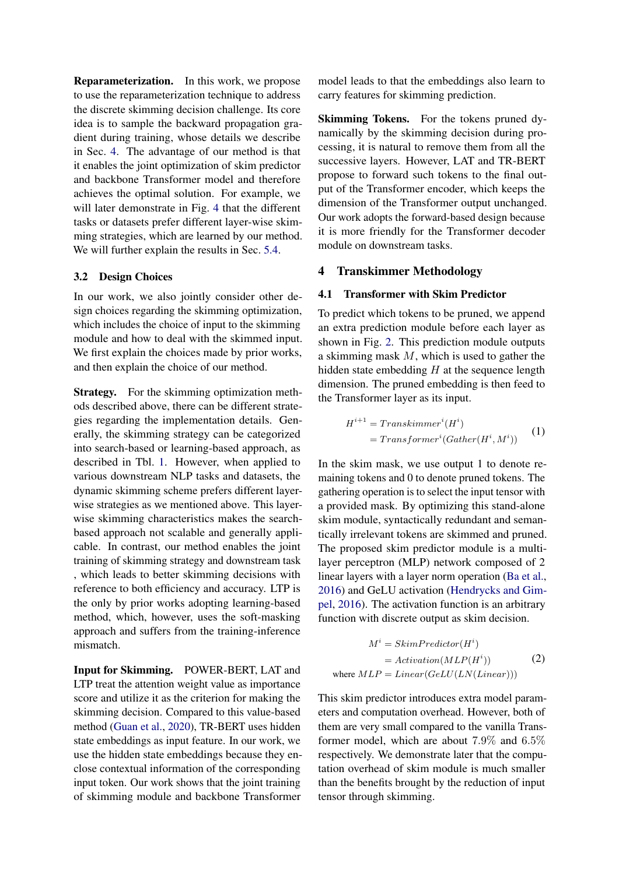Reparameterization. In this work, we propose to use the reparameterization technique to address the discrete skimming decision challenge. Its core idea is to sample the backward propagation gradient during training, whose details we describe in Sec. [4.](#page-3-0) The advantage of our method is that it enables the joint optimization of skim predictor and backbone Transformer model and therefore achieves the optimal solution. For example, we will later demonstrate in Fig. [4](#page-7-0) that the different tasks or datasets prefer different layer-wise skimming strategies, which are learned by our method. We will further explain the results in Sec. [5.4.](#page-8-0)

### 3.2 Design Choices

In our work, we also jointly consider other design choices regarding the skimming optimization, which includes the choice of input to the skimming module and how to deal with the skimmed input. We first explain the choices made by prior works, and then explain the choice of our method.

Strategy. For the skimming optimization methods described above, there can be different strategies regarding the implementation details. Generally, the skimming strategy can be categorized into search-based or learning-based approach, as described in Tbl. [1.](#page-2-1) However, when applied to various downstream NLP tasks and datasets, the dynamic skimming scheme prefers different layerwise strategies as we mentioned above. This layerwise skimming characteristics makes the searchbased approach not scalable and generally applicable. In contrast, our method enables the joint training of skimming strategy and downstream task , which leads to better skimming decisions with reference to both efficiency and accuracy. LTP is the only by prior works adopting learning-based method, which, however, uses the soft-masking approach and suffers from the training-inference mismatch.

Input for Skimming. POWER-BERT, LAT and LTP treat the attention weight value as importance score and utilize it as the criterion for making the skimming decision. Compared to this value-based method [\(Guan et al.,](#page-9-16) [2020\)](#page-9-16), TR-BERT uses hidden state embeddings as input feature. In our work, we use the hidden state embeddings because they enclose contextual information of the corresponding input token. Our work shows that the joint training of skimming module and backbone Transformer

model leads to that the embeddings also learn to carry features for skimming prediction.

Skimming Tokens. For the tokens pruned dynamically by the skimming decision during processing, it is natural to remove them from all the successive layers. However, LAT and TR-BERT propose to forward such tokens to the final output of the Transformer encoder, which keeps the dimension of the Transformer output unchanged. Our work adopts the forward-based design because it is more friendly for the Transformer decoder module on downstream tasks.

### <span id="page-3-0"></span>4 Transkimmer Methodology

## 4.1 Transformer with Skim Predictor

To predict which tokens to be pruned, we append an extra prediction module before each layer as shown in Fig. [2.](#page-4-0) This prediction module outputs a skimming mask M, which is used to gather the hidden state embedding  $H$  at the sequence length dimension. The pruned embedding is then feed to the Transformer layer as its input.

$$
H^{i+1} = Transfer(H^i)
$$
  
= Transformer<sup>*i*</sup>(Gather(H<sup>*i*</sup>, M<sup>*i*</sup>)) (1)

In the skim mask, we use output 1 to denote remaining tokens and 0 to denote pruned tokens. The gathering operation is to select the input tensor with a provided mask. By optimizing this stand-alone skim module, syntactically redundant and semantically irrelevant tokens are skimmed and pruned. The proposed skim predictor module is a multilayer perceptron (MLP) network composed of 2 linear layers with a layer norm operation [\(Ba et al.,](#page-9-17) [2016\)](#page-9-17) and GeLU activation [\(Hendrycks and Gim](#page-9-18)[pel,](#page-9-18) [2016\)](#page-9-18). The activation function is an arbitrary function with discrete output as skim decision.

$$
M^{i} = SkimPredictor(H^{i})
$$
  
=  $Activation(MLP(H^{i}))$  (2)  
where  $MLP = Linear(GeLU(LN(Linear)))$ 

This skim predictor introduces extra model parameters and computation overhead. However, both of them are very small compared to the vanilla Transformer model, which are about 7.9% and 6.5% respectively. We demonstrate later that the computation overhead of skim module is much smaller than the benefits brought by the reduction of input tensor through skimming.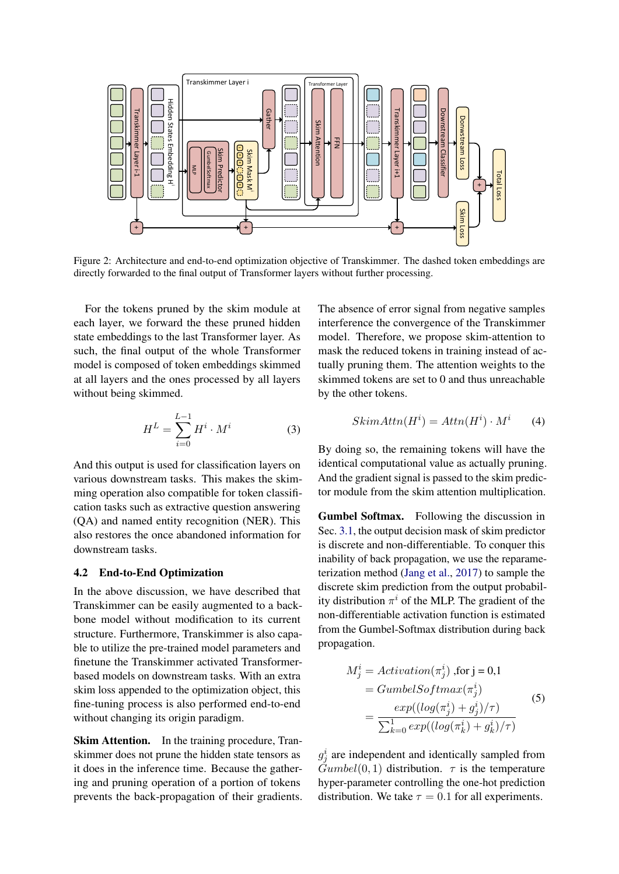<span id="page-4-0"></span>

Figure 2: Architecture and end-to-end optimization objective of Transkimmer. The dashed token embeddings are directly forwarded to the final output of Transformer layers without further processing.

For the tokens pruned by the skim module at each layer, we forward the these pruned hidden state embeddings to the last Transformer layer. As such, the final output of the whole Transformer model is composed of token embeddings skimmed at all layers and the ones processed by all layers without being skimmed.

$$
H^{L} = \sum_{i=0}^{L-1} H^{i} \cdot M^{i} \tag{3}
$$

And this output is used for classification layers on various downstream tasks. This makes the skimming operation also compatible for token classification tasks such as extractive question answering (QA) and named entity recognition (NER). This also restores the once abandoned information for downstream tasks.

## 4.2 End-to-End Optimization

In the above discussion, we have described that Transkimmer can be easily augmented to a backbone model without modification to its current structure. Furthermore, Transkimmer is also capable to utilize the pre-trained model parameters and finetune the Transkimmer activated Transformerbased models on downstream tasks. With an extra skim loss appended to the optimization object, this fine-tuning process is also performed end-to-end without changing its origin paradigm.

Skim Attention. In the training procedure, Transkimmer does not prune the hidden state tensors as it does in the inference time. Because the gathering and pruning operation of a portion of tokens prevents the back-propagation of their gradients. The absence of error signal from negative samples interference the convergence of the Transkimmer model. Therefore, we propose skim-attention to mask the reduced tokens in training instead of actually pruning them. The attention weights to the skimmed tokens are set to 0 and thus unreachable by the other tokens.

$$
SkimAttn(Hi) = Attn(Hi) \cdot Mi
$$
 (4)

By doing so, the remaining tokens will have the identical computational value as actually pruning. And the gradient signal is passed to the skim predictor module from the skim attention multiplication.

Gumbel Softmax. Following the discussion in Sec. [3.1,](#page-2-2) the output decision mask of skim predictor is discrete and non-differentiable. To conquer this inability of back propagation, we use the reparameterization method [\(Jang et al.,](#page-9-4) [2017\)](#page-9-4) to sample the discrete skim prediction from the output probability distribution  $\pi^{i}$  of the MLP. The gradient of the non-differentiable activation function is estimated from the Gumbel-Softmax distribution during back propagation.

$$
M_j^i = Activation(\pi_j^i) , \text{for } j = 0, 1
$$
  
= GumbelSoftmax(\pi\_j^i)  
= 
$$
\frac{exp((log(\pi_j^i) + g_j^i)/\tau)}{\sum_{k=0}^1 exp((log(\pi_k^i) + g_k^i)/\tau)}
$$
 (5)

 $g_j^i$  are independent and identically sampled from  $\tilde{Gumbel}(0, 1)$  distribution.  $\tau$  is the temperature hyper-parameter controlling the one-hot prediction distribution. We take  $\tau = 0.1$  for all experiments.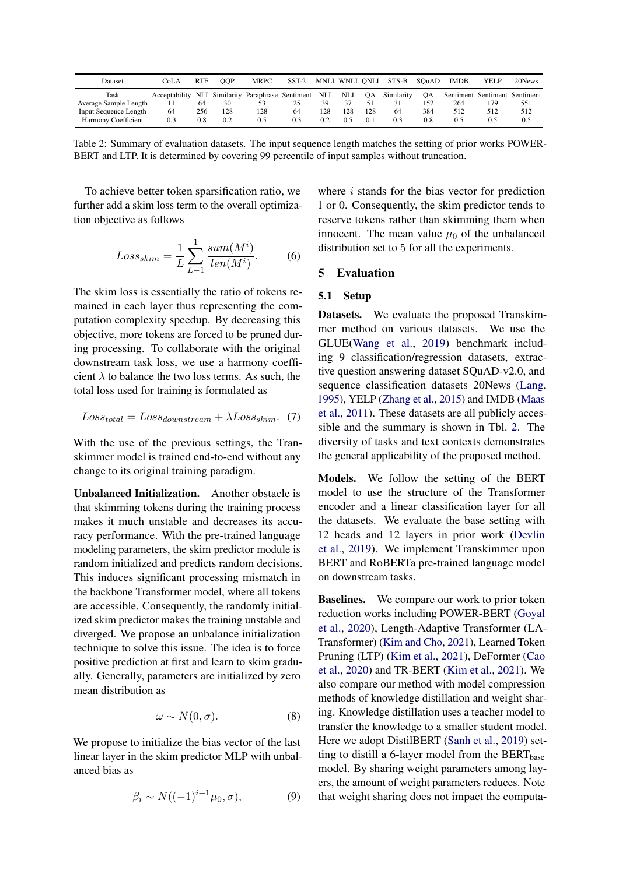<span id="page-5-0"></span>

| Dataset                      | CoLA          | <b>RTE</b> | <b>OOP</b> | <b>MRPC</b>                             | $SST-2$ | MNLI WNLI ONLI |      |       | STS-B      | SOuAD | <b>IMDB</b> | YELP                          | 20News |
|------------------------------|---------------|------------|------------|-----------------------------------------|---------|----------------|------|-------|------------|-------|-------------|-------------------------------|--------|
| Task                         | Acceptability |            |            | NLI Similarity Paraphrase Sentiment NLI |         |                | NLI. | OA.   | Similarity | OА    |             | Sentiment Sentiment Sentiment |        |
| Average Sample Length        |               | -64        | 30         |                                         |         | 39             |      |       |            | 152   | 264         |                               | 551    |
| <b>Input Sequence Length</b> | 64            | 256        | 128        | 128                                     | 64      | 128            | 128  | 128   | 64         | 384   | 512         | 512                           | 512    |
| <b>Harmony Coefficient</b>   | 0.3           | $_{0.8}$   | 0.2        | 0.5                                     | 0.3     | 0.2            | 0.5  | (0.1) | 0.3        | 0.8   | 0.5         |                               | 0.5    |

Table 2: Summary of evaluation datasets. The input sequence length matches the setting of prior works POWER-BERT and LTP. It is determined by covering 99 percentile of input samples without truncation.

To achieve better token sparsification ratio, we further add a skim loss term to the overall optimization objective as follows

$$
Loss_{skim} = \frac{1}{L} \sum_{L-1}^{1} \frac{sum(M^{i})}{len(M^{i})}.
$$
 (6)

The skim loss is essentially the ratio of tokens remained in each layer thus representing the computation complexity speedup. By decreasing this objective, more tokens are forced to be pruned during processing. To collaborate with the original downstream task loss, we use a harmony coefficient  $\lambda$  to balance the two loss terms. As such, the total loss used for training is formulated as

$$
Loss_{total} = Loss_{downstream} + \lambda Loss_{skim}. \tag{7}
$$

With the use of the previous settings, the Transkimmer model is trained end-to-end without any change to its original training paradigm.

Unbalanced Initialization. Another obstacle is that skimming tokens during the training process makes it much unstable and decreases its accuracy performance. With the pre-trained language modeling parameters, the skim predictor module is random initialized and predicts random decisions. This induces significant processing mismatch in the backbone Transformer model, where all tokens are accessible. Consequently, the randomly initialized skim predictor makes the training unstable and diverged. We propose an unbalance initialization technique to solve this issue. The idea is to force positive prediction at first and learn to skim gradually. Generally, parameters are initialized by zero mean distribution as

$$
\omega \sim N(0, \sigma). \tag{8}
$$

We propose to initialize the bias vector of the last linear layer in the skim predictor MLP with unbalanced bias as

$$
\beta_i \sim N((-1)^{i+1}\mu_0, \sigma), \tag{9}
$$

where  $i$  stands for the bias vector for prediction 1 or 0. Consequently, the skim predictor tends to reserve tokens rather than skimming them when innocent. The mean value  $\mu_0$  of the unbalanced distribution set to 5 for all the experiments.

## 5 Evaluation

#### 5.1 Setup

Datasets. We evaluate the proposed Transkimmer method on various datasets. We use the GLUE[\(Wang et al.,](#page-10-14) [2019\)](#page-10-14) benchmark including 9 classification/regression datasets, extractive question answering dataset SQuAD-v2.0, and sequence classification datasets 20News [\(Lang,](#page-10-15) [1995\)](#page-10-15), YELP [\(Zhang et al.,](#page-11-5) [2015\)](#page-11-5) and IMDB [\(Maas](#page-10-16) [et al.,](#page-10-16) [2011\)](#page-10-16). These datasets are all publicly accessible and the summary is shown in Tbl. [2.](#page-5-0) The diversity of tasks and text contexts demonstrates the general applicability of the proposed method.

Models. We follow the setting of the BERT model to use the structure of the Transformer encoder and a linear classification layer for all the datasets. We evaluate the base setting with 12 heads and 12 layers in prior work [\(Devlin](#page-9-0) [et al.,](#page-9-0) [2019\)](#page-9-0). We implement Transkimmer upon BERT and RoBERTa pre-trained language model on downstream tasks.

**Baselines.** We compare our work to prior token reduction works including POWER-BERT [\(Goyal](#page-9-2) [et al.,](#page-9-2) [2020\)](#page-9-2), Length-Adaptive Transformer (LA-Transformer) [\(Kim and Cho,](#page-9-3) [2021\)](#page-9-3), Learned Token Pruning (LTP) [\(Kim et al.,](#page-10-3) [2021\)](#page-10-3), DeFormer [\(Cao](#page-9-8) [et al.,](#page-9-8) [2020\)](#page-9-8) and TR-BERT [\(Kim et al.,](#page-10-3) [2021\)](#page-10-3). We also compare our method with model compression methods of knowledge distillation and weight sharing. Knowledge distillation uses a teacher model to transfer the knowledge to a smaller student model. Here we adopt DistilBERT [\(Sanh et al.,](#page-10-12) [2019\)](#page-10-12) setting to distill a 6-layer model from the  $BERT_{base}$ model. By sharing weight parameters among layers, the amount of weight parameters reduces. Note that weight sharing does not impact the computa-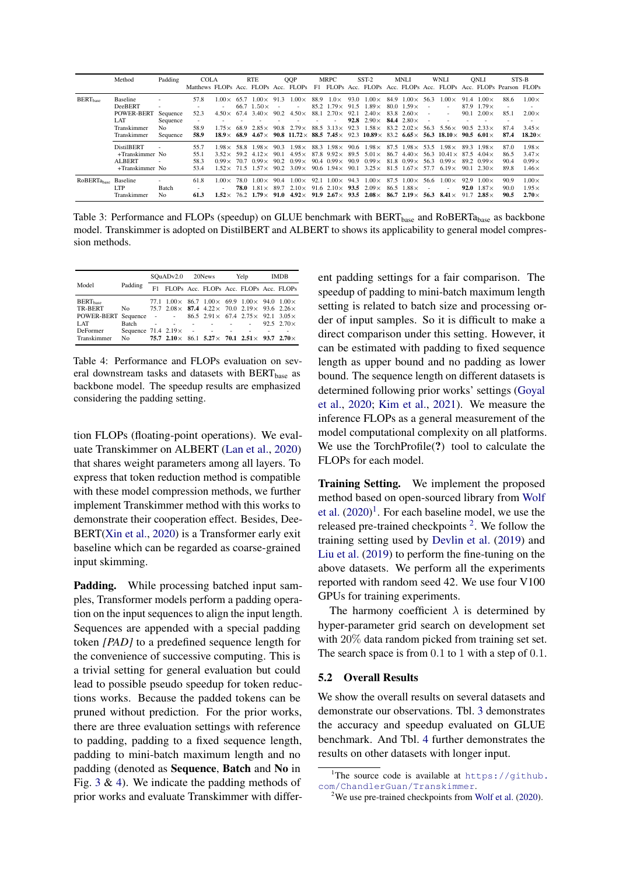<span id="page-6-0"></span>

|                                  | Method                                                                               | Padding                                 | <b>COLA</b><br>Matthews FLOPs Acc. FLOPs Acc. FLOPs F1 FLOPs Acc. FLOPs Acc. FLOPs Acc. FLOPs Acc. FLOPs Pearson FLOPs |                                                                    |              | <b>RTE</b>                                                                            |                      | <b>OOP</b>                                                                                                                                      |      | MRPC                                                                                               |              | $SST-2$                                                                                                                                                                                                                          | MNLI                                                                                                                           |                | WNLI                                                   |      | ONLI                                                                              |                              | STS-B                                                         |
|----------------------------------|--------------------------------------------------------------------------------------|-----------------------------------------|------------------------------------------------------------------------------------------------------------------------|--------------------------------------------------------------------|--------------|---------------------------------------------------------------------------------------|----------------------|-------------------------------------------------------------------------------------------------------------------------------------------------|------|----------------------------------------------------------------------------------------------------|--------------|----------------------------------------------------------------------------------------------------------------------------------------------------------------------------------------------------------------------------------|--------------------------------------------------------------------------------------------------------------------------------|----------------|--------------------------------------------------------|------|-----------------------------------------------------------------------------------|------------------------------|---------------------------------------------------------------|
| <b>BERT</b> <sub>hase</sub>      | <b>Baseline</b><br>DeeBERT<br><b>POWER-BERT</b><br>LAT<br>Transkimmer<br>Transkimmer | Sequence<br>Sequence<br>No.<br>Sequence | 57.8<br>52.3<br>58.9<br>58.9                                                                                           | $1.00\times$<br>$4.50\times$<br>$1.75\times$<br>$18.9 \times 68.9$ | 65.7<br>68.9 | $1.00 \times 91.3$<br>$66.7$ 1.50 $\times$<br>$67.4$ 3.40 $\times$<br>$2.85\times$    | $\sim$<br>90.2       | $1.00\times$<br>$4.50\times$<br>$90.8$ $2.79 \times$<br>$4.67\times$ 90.8 11.72 × 88.5 7.45 × 92.3 10.89 × 83.2 6.65 × 56.3 18.10 × 90.5 6.01 × | 88.9 | $1.0\times$<br>$85.2$ 1.79 $\times$ 91.5<br>$88.1$ $2.70 \times 92.1$<br>$88.5$ $3.13 \times$ 92.3 | 93.0<br>92.8 | $1.00\times$<br>$1.89\times$<br>$2.40\times$<br>$2.90\times$<br>$1.58\times$                                                                                                                                                     | $84.9$ $1.00 \times 56.3$<br>$80.0 \quad 1.59 \times$<br>$83.8$ 2.60 $\times$<br>84.4 $2.80\times$<br>$83.2 \quad 2.02 \times$ | $\sim$<br>56.3 | $.00\times$<br>$5.56\times$                            | 90.1 | $91.4$ 1.00 $\times$<br>87.9 $1.79\times$<br>$2.00\times$<br>$90.5 \t2.33 \times$ | 88.6<br>85.1<br>87.4<br>87.4 | $1.00\times$<br>$2.00\times$<br>$3.45\times$<br>$18.20\times$ |
|                                  | <b>DistilBERT</b><br>+Transkimmer No<br><b>ALBERT</b><br>+Transkimmer No             |                                         | 55.7<br>55.1<br>58.3<br>53.4                                                                                           | $1.98 \times 58.8$<br>$3.52 \times 59.2$<br>$0.99 \times 70.7$     |              | $1.98\times$<br>$4.12\times$<br>$0.99\times$<br>$1.52 \times 71.5$ $1.57 \times 90.2$ | 90.3<br>90.1<br>90.2 | $1.98\times$<br>$4.95\times$<br>$0.99\times$<br>$3.09\times$                                                                                    |      | $90.4 \quad 0.99 \times 90.9$                                                                      |              | $88.3$ $1.98 \times 90.6$ $1.98 \times 87.5$ $1.98 \times 53.5$ $1.98 \times$<br>$87.8$ 9.92 × 89.5 5.01 × 86.7 4.40 × 56.3 10.41 × 87.5 4.04 ×<br>$0.99\times$<br>90.6 $1.94 \times 90.1$ $3.25 \times 81.5$ $1.67 \times 57.7$ | $81.8$ 0.99 $\times$ 56.3                                                                                                      |                | $0.99\times$<br>$6.19\times$                           |      | $89.3$ 1.98 $\times$<br>$89.2 \quad 0.99 \times$<br>$901230 \times$               | 87.0<br>86.5<br>90.4<br>89.8 | $1.98\times$<br>$3.47\times$<br>$0.99\times$<br>$1.46\times$  |
| RoBERTa <sub>hase</sub> Baseline | <b>LTP</b><br>Transkimmer                                                            | Batch<br>No.                            | 61.8<br>61.3                                                                                                           | $1.00\times$                                                       | 78.0         | $1.00 \times$<br>78.0 $1.81\times$                                                    | 90.4<br>89.7         | $1.00\times$<br>$2.10\times$<br>$1.52 \times 76.2$ $1.79 \times 91.0$ $4.92 \times 91.9$ $2.67 \times 93.5$ $2.08 \times$                       | 92.1 | $1.00 \times 94.3$<br>$91.6$ 2.10 $\times$ 93.5                                                    |              | $0.00 \times$<br>$2.09\times$                                                                                                                                                                                                    | $87.5 \quad 1.00 \times \quad 56.6$<br>$86.5$ 1.88 $\times$                                                                    | ٠              | $0.00 \times$<br>86.7 2.19 $\times$ 56.3 8.41 $\times$ | 92.9 | $1.00\times$<br><b>92.0</b> $1.87\times$<br>91.7 $2.85 \times$                    | 90.9<br>90.0<br>90.5         | $1.00\times$<br>$1.95\times$<br>$2.70\times$                  |

Table 3: Performance and FLOPs (speedup) on GLUE benchmark with BERT<sub>base</sub> and RoBERTa<sub>base</sub> as backbone model. Transkimmer is adopted on DistilBERT and ALBERT to shows its applicability to general model compression methods.

<span id="page-6-1"></span>

|                      |                                  | SOuADv2.0 20News |                    |                                                                               | Yelp | <b>IMDB</b> |                    |  |
|----------------------|----------------------------------|------------------|--------------------|-------------------------------------------------------------------------------|------|-------------|--------------------|--|
| Model                | Padding                          | F1.              |                    | FLOPs Acc. FLOPs Acc. FLOPs Acc. FLOPs                                        |      |             |                    |  |
| BERT <sub>base</sub> |                                  |                  |                    | 77.1 $1.00 \times 86.7$ $1.00 \times 69.9$ $1.00 \times 94.0$ $1.00 \times$   |      |             |                    |  |
| TR-BERT              | No.                              |                  |                    | 75.7 $2.08 \times 87.4$ 4.22 $\times$ 70.0 $2.19 \times 93.6$ 2.26 $\times$   |      |             |                    |  |
| POWER-BERT Sequence  |                                  |                  | the company's com- | 86.5 $2.91 \times 67.4$ $2.75 \times 92.1$ $3.05 \times$                      |      |             |                    |  |
| LAT.                 | Batch                            |                  | <b>Contractor</b>  | the contract of the contract of the                                           |      |             | 92.5 $2.70 \times$ |  |
| DeFormer             | Sequence $71.4$ $2.19\times$ - - |                  |                    |                                                                               |      |             |                    |  |
| Transkimmer          | No.                              |                  |                    | 75.7 2.10 \(\times\) 86.1 5.27 \(\times\) 70.1 2.51 \(\times\) 93.7 2.70 \(\) |      |             |                    |  |

Table 4: Performance and FLOPs evaluation on several downstream tasks and datasets with BERT<sub>base</sub> as backbone model. The speedup results are emphasized considering the padding setting.

tion FLOPs (floating-point operations). We evaluate Transkimmer on ALBERT [\(Lan et al.,](#page-10-17) [2020\)](#page-10-17) that shares weight parameters among all layers. To express that token reduction method is compatible with these model compression methods, we further implement Transkimmer method with this works to demonstrate their cooperation effect. Besides, Dee-BERT[\(Xin et al.,](#page-11-2) [2020\)](#page-11-2) is a Transformer early exit baseline which can be regarded as coarse-grained input skimming.

Padding. While processing batched input samples, Transformer models perform a padding operation on the input sequences to align the input length. Sequences are appended with a special padding token *[PAD]* to a predefined sequence length for the convenience of successive computing. This is a trivial setting for general evaluation but could lead to possible pseudo speedup for token reductions works. Because the padded tokens can be pruned without prediction. For the prior works, there are three evaluation settings with reference to padding, padding to a fixed sequence length, padding to mini-batch maximum length and no padding (denoted as Sequence, Batch and No in Fig. [3](#page-6-0) & [4\)](#page-6-1). We indicate the padding methods of prior works and evaluate Transkimmer with different padding settings for a fair comparison. The speedup of padding to mini-batch maximum length setting is related to batch size and processing order of input samples. So it is difficult to make a direct comparison under this setting. However, it can be estimated with padding to fixed sequence length as upper bound and no padding as lower bound. The sequence length on different datasets is determined following prior works' settings [\(Goyal](#page-9-2) [et al.,](#page-9-2) [2020;](#page-9-2) [Kim et al.,](#page-10-3) [2021\)](#page-10-3). We measure the inference FLOPs as a general measurement of the model computational complexity on all platforms. We use the TorchProfile<sup>(?)</sup> tool to calculate the FLOPs for each model.

Training Setting. We implement the proposed method based on open-sourced library from [Wolf](#page-10-18) [et al.](#page-10-18)  $(2020)^1$  $(2020)^1$  $(2020)^1$ . For each baseline model, we use the released pre-trained checkpoints  $2$ . We follow the training setting used by [Devlin et al.](#page-9-0) [\(2019\)](#page-9-0) and [Liu et al.](#page-10-19) [\(2019\)](#page-10-19) to perform the fine-tuning on the above datasets. We perform all the experiments reported with random seed 42. We use four V100 GPUs for training experiments.

The harmony coefficient  $\lambda$  is determined by hyper-parameter grid search on development set with 20% data random picked from training set set. The search space is from 0.1 to 1 with a step of 0.1.

#### 5.2 Overall Results

We show the overall results on several datasets and demonstrate our observations. Tbl. [3](#page-6-0) demonstrates the accuracy and speedup evaluated on GLUE benchmark. And Tbl. [4](#page-6-1) further demonstrates the results on other datasets with longer input.

<span id="page-6-2"></span><sup>&</sup>lt;sup>1</sup>The source code is available at [https://github.](https://github.com/ChandlerGuan/Transkimmer) [com/ChandlerGuan/Transkimmer](https://github.com/ChandlerGuan/Transkimmer).

<span id="page-6-3"></span> $2$ We use pre-trained checkpoints from [Wolf et al.](#page-10-18) [\(2020\)](#page-10-18).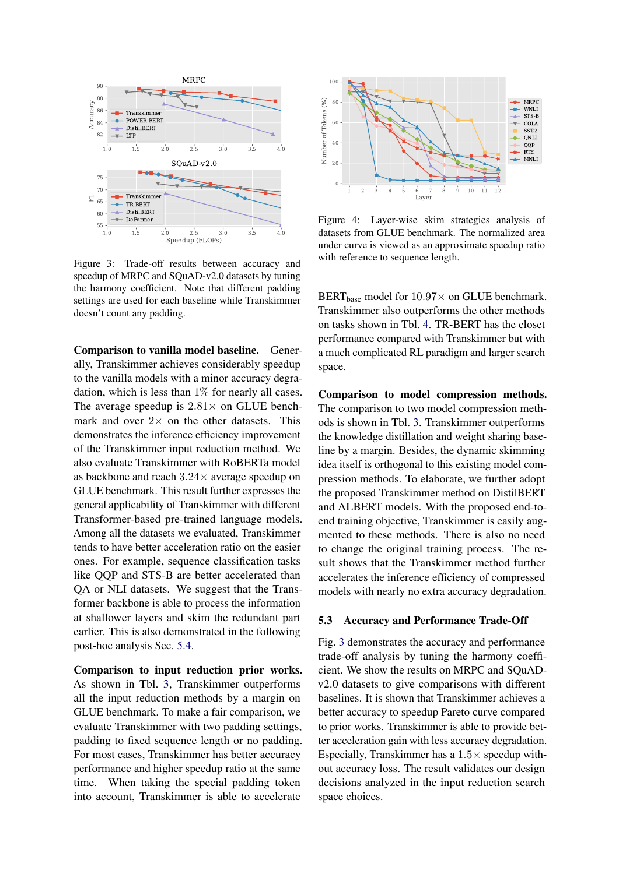<span id="page-7-1"></span>

Figure 3: Trade-off results between accuracy and speedup of MRPC and SQuAD-v2.0 datasets by tuning the harmony coefficient. Note that different padding settings are used for each baseline while Transkimmer doesn't count any padding.

Comparison to vanilla model baseline. Generally, Transkimmer achieves considerably speedup to the vanilla models with a minor accuracy degradation, which is less than  $1\%$  for nearly all cases. The average speedup is  $2.81 \times$  on GLUE benchmark and over  $2 \times$  on the other datasets. This demonstrates the inference efficiency improvement of the Transkimmer input reduction method. We also evaluate Transkimmer with RoBERTa model as backbone and reach 3.24× average speedup on GLUE benchmark. This result further expresses the general applicability of Transkimmer with different Transformer-based pre-trained language models. Among all the datasets we evaluated, Transkimmer tends to have better acceleration ratio on the easier ones. For example, sequence classification tasks like QQP and STS-B are better accelerated than QA or NLI datasets. We suggest that the Transformer backbone is able to process the information at shallower layers and skim the redundant part earlier. This is also demonstrated in the following post-hoc analysis Sec. [5.4.](#page-8-0)

Comparison to input reduction prior works. As shown in Tbl. [3,](#page-6-0) Transkimmer outperforms all the input reduction methods by a margin on GLUE benchmark. To make a fair comparison, we evaluate Transkimmer with two padding settings, padding to fixed sequence length or no padding. For most cases, Transkimmer has better accuracy performance and higher speedup ratio at the same time. When taking the special padding token into account, Transkimmer is able to accelerate

<span id="page-7-0"></span>

Figure 4: Layer-wise skim strategies analysis of datasets from GLUE benchmark. The normalized area under curve is viewed as an approximate speedup ratio with reference to sequence length.

BERT<sub>base</sub> model for  $10.97\times$  on GLUE benchmark. Transkimmer also outperforms the other methods on tasks shown in Tbl. [4.](#page-6-1) TR-BERT has the closet performance compared with Transkimmer but with a much complicated RL paradigm and larger search space.

Comparison to model compression methods. The comparison to two model compression methods is shown in Tbl. [3.](#page-6-0) Transkimmer outperforms the knowledge distillation and weight sharing baseline by a margin. Besides, the dynamic skimming idea itself is orthogonal to this existing model compression methods. To elaborate, we further adopt the proposed Transkimmer method on DistilBERT and ALBERT models. With the proposed end-toend training objective, Transkimmer is easily augmented to these methods. There is also no need to change the original training process. The result shows that the Transkimmer method further accelerates the inference efficiency of compressed models with nearly no extra accuracy degradation.

#### 5.3 Accuracy and Performance Trade-Off

Fig. [3](#page-7-1) demonstrates the accuracy and performance trade-off analysis by tuning the harmony coefficient. We show the results on MRPC and SQuADv2.0 datasets to give comparisons with different baselines. It is shown that Transkimmer achieves a better accuracy to speedup Pareto curve compared to prior works. Transkimmer is able to provide better acceleration gain with less accuracy degradation. Especially, Transkimmer has a  $1.5\times$  speedup without accuracy loss. The result validates our design decisions analyzed in the input reduction search space choices.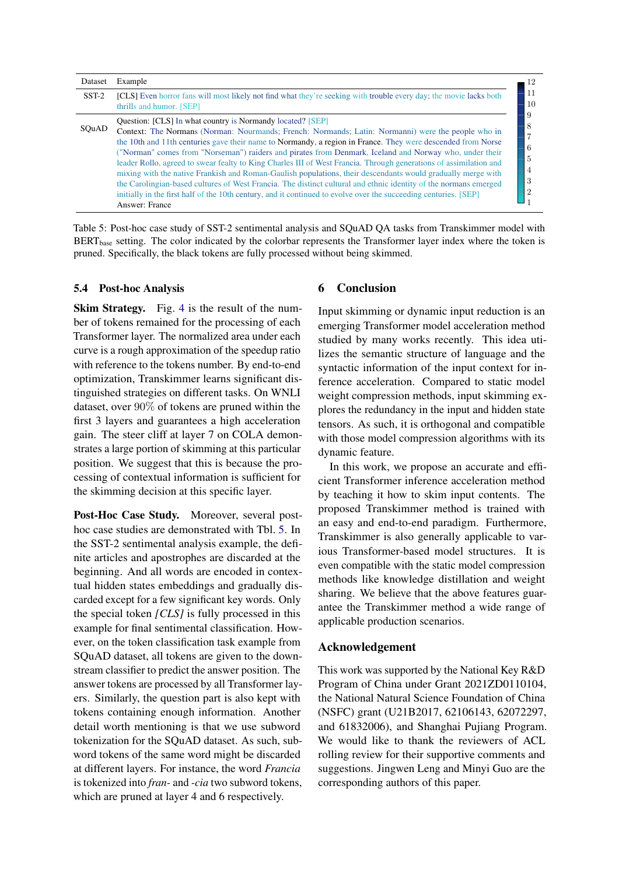<span id="page-8-1"></span>

| Dataset | Example                                                                                                                                                                                                                                                                                                                                                                                                                                                                                                                                                                                                                                                                                                                                                                                                                                                                                 |
|---------|-----------------------------------------------------------------------------------------------------------------------------------------------------------------------------------------------------------------------------------------------------------------------------------------------------------------------------------------------------------------------------------------------------------------------------------------------------------------------------------------------------------------------------------------------------------------------------------------------------------------------------------------------------------------------------------------------------------------------------------------------------------------------------------------------------------------------------------------------------------------------------------------|
| $SST-2$ | <b>[CLS]</b> Even horror fans will most likely not find what they're seeking with trouble every day; the movie lacks both<br>thrills and humor. [SEP]                                                                                                                                                                                                                                                                                                                                                                                                                                                                                                                                                                                                                                                                                                                                   |
| SOuAD   | Question: [CLS] In what country is Normandy located? [SEP]<br>Context: The Normans (Norman: Nourmands; French: Normands; Latin: Normanni) were the people who in<br>the 10th and 11th centuries gave their name to Normandy, a region in France. They were descended from Norse<br>("Norman" comes from "Norseman") raiders and pirates from Denmark, Iceland and Norway who, under their<br>leader Rollo, agreed to swear fealty to King Charles III of West Francia. Through generations of assimilation and<br>mixing with the native Frankish and Roman-Gaulish populations, their descendants would gradually merge with<br>the Carolingian-based cultures of West Francia. The distinct cultural and ethnic identity of the normans emerged<br>initially in the first half of the 10th century, and it continued to evolve over the succeeding centuries. [SEP]<br>Answer: France |

Table 5: Post-hoc case study of SST-2 sentimental analysis and SQuAD QA tasks from Transkimmer model with  $BERT<sub>base</sub> setting.$  The color indicated by the colorbar represents the Transformer layer index where the token is pruned. Specifically, the black tokens are fully processed without being skimmed.

## <span id="page-8-0"></span>5.4 Post-hoc Analysis

Skim Strategy. Fig. [4](#page-7-0) is the result of the number of tokens remained for the processing of each Transformer layer. The normalized area under each curve is a rough approximation of the speedup ratio with reference to the tokens number. By end-to-end optimization, Transkimmer learns significant distinguished strategies on different tasks. On WNLI dataset, over 90% of tokens are pruned within the first 3 layers and guarantees a high acceleration gain. The steer cliff at layer 7 on COLA demonstrates a large portion of skimming at this particular position. We suggest that this is because the processing of contextual information is sufficient for the skimming decision at this specific layer.

Post-Hoc Case Study. Moreover, several posthoc case studies are demonstrated with Tbl. [5.](#page-8-1) In the SST-2 sentimental analysis example, the definite articles and apostrophes are discarded at the beginning. And all words are encoded in contextual hidden states embeddings and gradually discarded except for a few significant key words. Only the special token *[CLS]* is fully processed in this example for final sentimental classification. However, on the token classification task example from SQuAD dataset, all tokens are given to the downstream classifier to predict the answer position. The answer tokens are processed by all Transformer layers. Similarly, the question part is also kept with tokens containing enough information. Another detail worth mentioning is that we use subword tokenization for the SQuAD dataset. As such, subword tokens of the same word might be discarded at different layers. For instance, the word *Francia* is tokenized into *fran-* and *-cia* two subword tokens, which are pruned at layer 4 and 6 respectively.

# 6 Conclusion

Input skimming or dynamic input reduction is an emerging Transformer model acceleration method studied by many works recently. This idea utilizes the semantic structure of language and the syntactic information of the input context for inference acceleration. Compared to static model weight compression methods, input skimming explores the redundancy in the input and hidden state tensors. As such, it is orthogonal and compatible with those model compression algorithms with its dynamic feature.

In this work, we propose an accurate and efficient Transformer inference acceleration method by teaching it how to skim input contents. The proposed Transkimmer method is trained with an easy and end-to-end paradigm. Furthermore, Transkimmer is also generally applicable to various Transformer-based model structures. It is even compatible with the static model compression methods like knowledge distillation and weight sharing. We believe that the above features guarantee the Transkimmer method a wide range of applicable production scenarios.

#### Acknowledgement

This work was supported by the National Key R&D Program of China under Grant 2021ZD0110104, the National Natural Science Foundation of China (NSFC) grant (U21B2017, 62106143, 62072297, and 61832006), and Shanghai Pujiang Program. We would like to thank the reviewers of ACL rolling review for their supportive comments and suggestions. Jingwen Leng and Minyi Guo are the corresponding authors of this paper.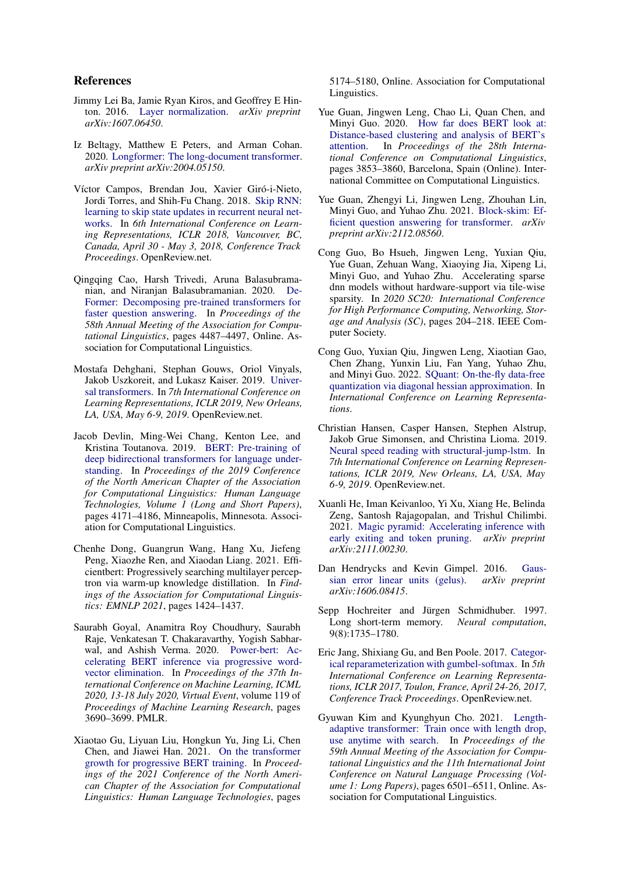## References

- <span id="page-9-17"></span>Jimmy Lei Ba, Jamie Ryan Kiros, and Geoffrey E Hinton. 2016. [Layer normalization.](https://arxiv.org/abs/1607.06450) *arXiv preprint arXiv:1607.06450*.
- <span id="page-9-14"></span>Iz Beltagy, Matthew E Peters, and Arman Cohan. 2020. [Longformer: The long-document transformer.](https://arxiv.org/abs/2004.05150) *arXiv preprint arXiv:2004.05150*.
- <span id="page-9-6"></span>Víctor Campos, Brendan Jou, Xavier Giró-i-Nieto, Jordi Torres, and Shih-Fu Chang. 2018. [Skip RNN:](https://openreview.net/forum?id=HkwVAXyCW) [learning to skip state updates in recurrent neural net](https://openreview.net/forum?id=HkwVAXyCW)[works.](https://openreview.net/forum?id=HkwVAXyCW) In *6th International Conference on Learning Representations, ICLR 2018, Vancouver, BC, Canada, April 30 - May 3, 2018, Conference Track Proceedings*. OpenReview.net.
- <span id="page-9-8"></span>Qingqing Cao, Harsh Trivedi, Aruna Balasubramanian, and Niranjan Balasubramanian. 2020. [De-](https://doi.org/10.18653/v1/2020.acl-main.411)[Former: Decomposing pre-trained transformers for](https://doi.org/10.18653/v1/2020.acl-main.411) [faster question answering.](https://doi.org/10.18653/v1/2020.acl-main.411) In *Proceedings of the 58th Annual Meeting of the Association for Computational Linguistics*, pages 4487–4497, Online. Association for Computational Linguistics.
- <span id="page-9-7"></span>Mostafa Dehghani, Stephan Gouws, Oriol Vinyals, Jakob Uszkoreit, and Lukasz Kaiser. 2019. [Univer](https://openreview.net/forum?id=HyzdRiR9Y7)[sal transformers.](https://openreview.net/forum?id=HyzdRiR9Y7) In *7th International Conference on Learning Representations, ICLR 2019, New Orleans, LA, USA, May 6-9, 2019*. OpenReview.net.
- <span id="page-9-0"></span>Jacob Devlin, Ming-Wei Chang, Kenton Lee, and Kristina Toutanova. 2019. [BERT: Pre-training of](https://doi.org/10.18653/v1/N19-1423) [deep bidirectional transformers for language under](https://doi.org/10.18653/v1/N19-1423)[standing.](https://doi.org/10.18653/v1/N19-1423) In *Proceedings of the 2019 Conference of the North American Chapter of the Association for Computational Linguistics: Human Language Technologies, Volume 1 (Long and Short Papers)*, pages 4171–4186, Minneapolis, Minnesota. Association for Computational Linguistics.
- <span id="page-9-15"></span>Chenhe Dong, Guangrun Wang, Hang Xu, Jiefeng Peng, Xiaozhe Ren, and Xiaodan Liang. 2021. Efficientbert: Progressively searching multilayer perceptron via warm-up knowledge distillation. In *Findings of the Association for Computational Linguistics: EMNLP 2021*, pages 1424–1437.
- <span id="page-9-2"></span>Saurabh Goyal, Anamitra Roy Choudhury, Saurabh Raje, Venkatesan T. Chakaravarthy, Yogish Sabharwal, and Ashish Verma. 2020. [Power-bert: Ac](http://proceedings.mlr.press/v119/goyal20a.html)[celerating BERT inference via progressive word](http://proceedings.mlr.press/v119/goyal20a.html)[vector elimination.](http://proceedings.mlr.press/v119/goyal20a.html) In *Proceedings of the 37th International Conference on Machine Learning, ICML 2020, 13-18 July 2020, Virtual Event*, volume 119 of *Proceedings of Machine Learning Research*, pages 3690–3699. PMLR.
- <span id="page-9-10"></span>Xiaotao Gu, Liyuan Liu, Hongkun Yu, Jing Li, Chen Chen, and Jiawei Han. 2021. [On the transformer](https://doi.org/10.18653/v1/2021.naacl-main.406) [growth for progressive BERT training.](https://doi.org/10.18653/v1/2021.naacl-main.406) In *Proceedings of the 2021 Conference of the North American Chapter of the Association for Computational Linguistics: Human Language Technologies*, pages

5174–5180, Online. Association for Computational Linguistics.

- <span id="page-9-16"></span>Yue Guan, Jingwen Leng, Chao Li, Quan Chen, and Minyi Guo. 2020. [How far does BERT look at:](https://doi.org/10.18653/v1/2020.coling-main.342) [Distance-based clustering and analysis of BERT's](https://doi.org/10.18653/v1/2020.coling-main.342)<br>attention. In *Proceedings of the 28th Interna-*In *Proceedings of the 28th International Conference on Computational Linguistics*, pages 3853–3860, Barcelona, Spain (Online). International Committee on Computational Linguistics.
- <span id="page-9-9"></span>Yue Guan, Zhengyi Li, Jingwen Leng, Zhouhan Lin, Minyi Guo, and Yuhao Zhu. 2021. [Block-skim: Ef](https://arxiv.org/abs/2112.08560)[ficient question answering for transformer.](https://arxiv.org/abs/2112.08560) *arXiv preprint arXiv:2112.08560*.
- <span id="page-9-12"></span>Cong Guo, Bo Hsueh, Jingwen Leng, Yuxian Qiu, Yue Guan, Zehuan Wang, Xiaoying Jia, Xipeng Li, Minyi Guo, and Yuhao Zhu. Accelerating sparse dnn models without hardware-support via tile-wise sparsity. In *2020 SC20: International Conference for High Performance Computing, Networking, Storage and Analysis (SC)*, pages 204–218. IEEE Computer Society.
- <span id="page-9-13"></span>Cong Guo, Yuxian Qiu, Jingwen Leng, Xiaotian Gao, Chen Zhang, Yunxin Liu, Fan Yang, Yuhao Zhu, and Minyi Guo. 2022. [SQuant: On-the-fly data-free](https://openreview.net/forum?id=JXhROKNZzOc) [quantization via diagonal hessian approximation.](https://openreview.net/forum?id=JXhROKNZzOc) In *International Conference on Learning Representations*.
- <span id="page-9-5"></span>Christian Hansen, Casper Hansen, Stephen Alstrup, Jakob Grue Simonsen, and Christina Lioma. 2019. [Neural speed reading with structural-jump-lstm.](https://openreview.net/forum?id=B1xf9jAqFQ) In *7th International Conference on Learning Representations, ICLR 2019, New Orleans, LA, USA, May 6-9, 2019*. OpenReview.net.
- <span id="page-9-11"></span>Xuanli He, Iman Keivanloo, Yi Xu, Xiang He, Belinda Zeng, Santosh Rajagopalan, and Trishul Chilimbi. 2021. [Magic pyramid: Accelerating inference with](https://arxiv.org/abs/2111.00230) [early exiting and token pruning.](https://arxiv.org/abs/2111.00230) *arXiv preprint arXiv:2111.00230*.
- <span id="page-9-18"></span>Dan Hendrycks and Kevin Gimpel. 2016. [Gaus](https://arxiv.org/abs/1606.08415)[sian error linear units \(gelus\).](https://arxiv.org/abs/1606.08415) *arXiv preprint arXiv:1606.08415*.
- <span id="page-9-1"></span>Sepp Hochreiter and Jürgen Schmidhuber. 1997. Long short-term memory. *Neural computation*, 9(8):1735–1780.
- <span id="page-9-4"></span>Eric Jang, Shixiang Gu, and Ben Poole. 2017. [Categor](https://openreview.net/forum?id=rkE3y85ee)[ical reparameterization with gumbel-softmax.](https://openreview.net/forum?id=rkE3y85ee) In *5th International Conference on Learning Representations, ICLR 2017, Toulon, France, April 24-26, 2017, Conference Track Proceedings*. OpenReview.net.
- <span id="page-9-3"></span>Gyuwan Kim and Kyunghyun Cho. 2021. [Length](https://doi.org/10.18653/v1/2021.acl-long.508)[adaptive transformer: Train once with length drop,](https://doi.org/10.18653/v1/2021.acl-long.508) [use anytime with search.](https://doi.org/10.18653/v1/2021.acl-long.508) In *Proceedings of the 59th Annual Meeting of the Association for Computational Linguistics and the 11th International Joint Conference on Natural Language Processing (Volume 1: Long Papers)*, pages 6501–6511, Online. Association for Computational Linguistics.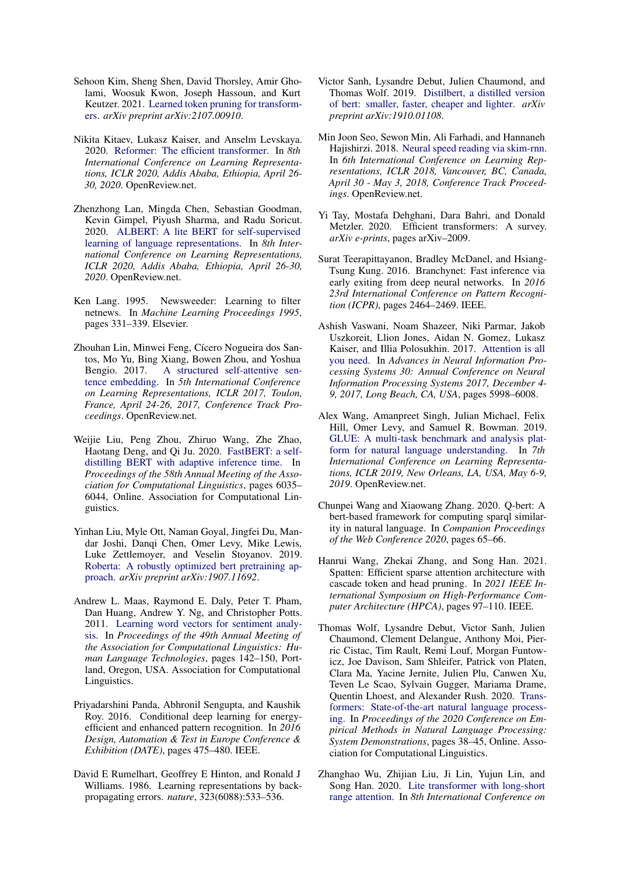- <span id="page-10-3"></span>Sehoon Kim, Sheng Shen, David Thorsley, Amir Gholami, Woosuk Kwon, Joseph Hassoun, and Kurt Keutzer. 2021. [Learned token pruning for transform](https://arxiv.org/abs/2107.00910)[ers.](https://arxiv.org/abs/2107.00910) *arXiv preprint arXiv:2107.00910*.
- <span id="page-10-13"></span>Nikita Kitaev, Lukasz Kaiser, and Anselm Levskaya. 2020. [Reformer: The efficient transformer.](https://openreview.net/forum?id=rkgNKkHtvB) In *8th International Conference on Learning Representations, ICLR 2020, Addis Ababa, Ethiopia, April 26- 30, 2020*. OpenReview.net.
- <span id="page-10-17"></span>Zhenzhong Lan, Mingda Chen, Sebastian Goodman, Kevin Gimpel, Piyush Sharma, and Radu Soricut. 2020. [ALBERT: A lite BERT for self-supervised](https://openreview.net/forum?id=H1eA7AEtvS) [learning of language representations.](https://openreview.net/forum?id=H1eA7AEtvS) In *8th International Conference on Learning Representations, ICLR 2020, Addis Ababa, Ethiopia, April 26-30, 2020*. OpenReview.net.
- <span id="page-10-15"></span>Ken Lang. 1995. Newsweeder: Learning to filter netnews. In *Machine Learning Proceedings 1995*, pages 331–339. Elsevier.
- <span id="page-10-1"></span>Zhouhan Lin, Minwei Feng, Cícero Nogueira dos Santos, Mo Yu, Bing Xiang, Bowen Zhou, and Yoshua [A structured self-attentive sen](https://openreview.net/forum?id=BJC_jUqxe)[tence embedding.](https://openreview.net/forum?id=BJC_jUqxe) In *5th International Conference on Learning Representations, ICLR 2017, Toulon, France, April 24-26, 2017, Conference Track Proceedings*. OpenReview.net.
- <span id="page-10-8"></span>Weijie Liu, Peng Zhou, Zhiruo Wang, Zhe Zhao, Haotang Deng, and Qi Ju. 2020. [FastBERT: a self](https://doi.org/10.18653/v1/2020.acl-main.537)[distilling BERT with adaptive inference time.](https://doi.org/10.18653/v1/2020.acl-main.537) In *Proceedings of the 58th Annual Meeting of the Association for Computational Linguistics*, pages 6035– 6044, Online. Association for Computational Linguistics.
- <span id="page-10-19"></span>Yinhan Liu, Myle Ott, Naman Goyal, Jingfei Du, Mandar Joshi, Danqi Chen, Omer Levy, Mike Lewis, Luke Zettlemoyer, and Veselin Stoyanov. 2019. [Roberta: A robustly optimized bert pretraining ap](https://arxiv.org/abs/1907.11692)[proach.](https://arxiv.org/abs/1907.11692) *arXiv preprint arXiv:1907.11692*.
- <span id="page-10-16"></span>Andrew L. Maas, Raymond E. Daly, Peter T. Pham, Dan Huang, Andrew Y. Ng, and Christopher Potts. 2011. [Learning word vectors for sentiment analy](https://aclanthology.org/P11-1015)[sis.](https://aclanthology.org/P11-1015) In *Proceedings of the 49th Annual Meeting of the Association for Computational Linguistics: Human Language Technologies*, pages 142–150, Portland, Oregon, USA. Association for Computational Linguistics.
- <span id="page-10-6"></span>Priyadarshini Panda, Abhronil Sengupta, and Kaushik Roy. 2016. Conditional deep learning for energyefficient and enhanced pattern recognition. In *2016 Design, Automation & Test in Europe Conference & Exhibition (DATE)*, pages 475–480. IEEE.
- <span id="page-10-2"></span>David E Rumelhart, Geoffrey E Hinton, and Ronald J Williams. 1986. Learning representations by backpropagating errors. *nature*, 323(6088):533–536.
- <span id="page-10-12"></span>Victor Sanh, Lysandre Debut, Julien Chaumond, and Thomas Wolf. 2019. [Distilbert, a distilled version](https://arxiv.org/abs/1910.01108) [of bert: smaller, faster, cheaper and lighter.](https://arxiv.org/abs/1910.01108) *arXiv preprint arXiv:1910.01108*.
- <span id="page-10-4"></span>Min Joon Seo, Sewon Min, Ali Farhadi, and Hannaneh Hajishirzi. 2018. [Neural speed reading via skim-rnn.](https://openreview.net/forum?id=Sy-dQG-Rb) In *6th International Conference on Learning Representations, ICLR 2018, Vancouver, BC, Canada, April 30 - May 3, 2018, Conference Track Proceedings*. OpenReview.net.
- <span id="page-10-10"></span>Yi Tay, Mostafa Dehghani, Dara Bahri, and Donald Metzler. 2020. Efficient transformers: A survey. *arXiv e-prints*, pages arXiv–2009.
- <span id="page-10-7"></span>Surat Teerapittayanon, Bradley McDanel, and Hsiang-Tsung Kung. 2016. Branchynet: Fast inference via early exiting from deep neural networks. In *2016 23rd International Conference on Pattern Recognition (ICPR)*, pages 2464–2469. IEEE.
- <span id="page-10-0"></span>Ashish Vaswani, Noam Shazeer, Niki Parmar, Jakob Uszkoreit, Llion Jones, Aidan N. Gomez, Lukasz Kaiser, and Illia Polosukhin. 2017. [Attention is all](https://proceedings.neurips.cc/paper/2017/hash/3f5ee243547dee91fbd053c1c4a845aa-Abstract.html) [you need.](https://proceedings.neurips.cc/paper/2017/hash/3f5ee243547dee91fbd053c1c4a845aa-Abstract.html) In *Advances in Neural Information Processing Systems 30: Annual Conference on Neural Information Processing Systems 2017, December 4- 9, 2017, Long Beach, CA, USA*, pages 5998–6008.
- <span id="page-10-14"></span>Alex Wang, Amanpreet Singh, Julian Michael, Felix Hill, Omer Levy, and Samuel R. Bowman. 2019. [GLUE: A multi-task benchmark and analysis plat](https://openreview.net/forum?id=rJ4km2R5t7)[form for natural language understanding.](https://openreview.net/forum?id=rJ4km2R5t7) In *7th International Conference on Learning Representations, ICLR 2019, New Orleans, LA, USA, May 6-9, 2019*. OpenReview.net.
- <span id="page-10-11"></span>Chunpei Wang and Xiaowang Zhang. 2020. Q-bert: A bert-based framework for computing sparql similarity in natural language. In *Companion Proceedings of the Web Conference 2020*, pages 65–66.
- <span id="page-10-5"></span>Hanrui Wang, Zhekai Zhang, and Song Han. 2021. Spatten: Efficient sparse attention architecture with cascade token and head pruning. In *2021 IEEE International Symposium on High-Performance Computer Architecture (HPCA)*, pages 97–110. IEEE.
- <span id="page-10-18"></span>Thomas Wolf, Lysandre Debut, Victor Sanh, Julien Chaumond, Clement Delangue, Anthony Moi, Pierric Cistac, Tim Rault, Remi Louf, Morgan Funtowicz, Joe Davison, Sam Shleifer, Patrick von Platen, Clara Ma, Yacine Jernite, Julien Plu, Canwen Xu, Teven Le Scao, Sylvain Gugger, Mariama Drame, Quentin Lhoest, and Alexander Rush. 2020. [Trans](https://doi.org/10.18653/v1/2020.emnlp-demos.6)[formers: State-of-the-art natural language process](https://doi.org/10.18653/v1/2020.emnlp-demos.6)[ing.](https://doi.org/10.18653/v1/2020.emnlp-demos.6) In *Proceedings of the 2020 Conference on Empirical Methods in Natural Language Processing: System Demonstrations*, pages 38–45, Online. Association for Computational Linguistics.
- <span id="page-10-9"></span>Zhanghao Wu, Zhijian Liu, Ji Lin, Yujun Lin, and Song Han. 2020. [Lite transformer with long-short](https://openreview.net/forum?id=ByeMPlHKPH) [range attention.](https://openreview.net/forum?id=ByeMPlHKPH) In *8th International Conference on*